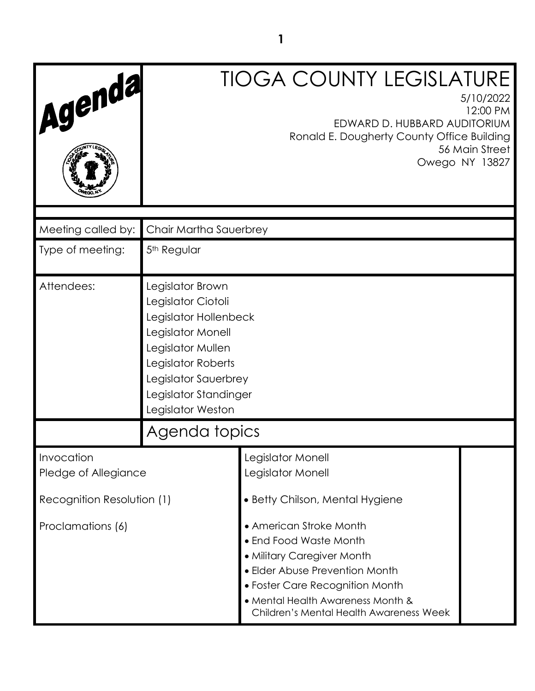| Agenda                             |                                                                                                                                                                                                       | <b>TIOGA COUNTY LEGISLATURE</b><br>EDWARD D. HUBBARD AUDITORIUM<br>Ronald E. Dougherty County Office Building                                                                                                                        | 5/10/2022<br>12:00 PM<br>56 Main Street |
|------------------------------------|-------------------------------------------------------------------------------------------------------------------------------------------------------------------------------------------------------|--------------------------------------------------------------------------------------------------------------------------------------------------------------------------------------------------------------------------------------|-----------------------------------------|
|                                    |                                                                                                                                                                                                       |                                                                                                                                                                                                                                      | Owego NY 13827                          |
| Meeting called by:                 | Chair Martha Sauerbrey                                                                                                                                                                                |                                                                                                                                                                                                                                      |                                         |
| Type of meeting:                   | 5 <sup>th</sup> Regular                                                                                                                                                                               |                                                                                                                                                                                                                                      |                                         |
| Attendees:                         | Legislator Brown<br>Legislator Ciotoli<br>Legislator Hollenbeck<br>Legislator Monell<br>Legislator Mullen<br>Legislator Roberts<br>Legislator Sauerbrey<br>Legislator Standinger<br>Legislator Weston |                                                                                                                                                                                                                                      |                                         |
|                                    | Agenda topics                                                                                                                                                                                         |                                                                                                                                                                                                                                      |                                         |
| Invocation<br>Pledge of Allegiance |                                                                                                                                                                                                       | Legislator Monell<br>Legislator Monell                                                                                                                                                                                               |                                         |
| Recognition Resolution (1)         |                                                                                                                                                                                                       | • Betty Chilson, Mental Hygiene                                                                                                                                                                                                      |                                         |
| Proclamations (6)                  |                                                                                                                                                                                                       | • American Stroke Month<br>• End Food Waste Month<br>• Military Caregiver Month<br>• Elder Abuse Prevention Month<br>• Foster Care Recognition Month<br>• Mental Health Awareness Month &<br>Children's Mental Health Awareness Week |                                         |

**1**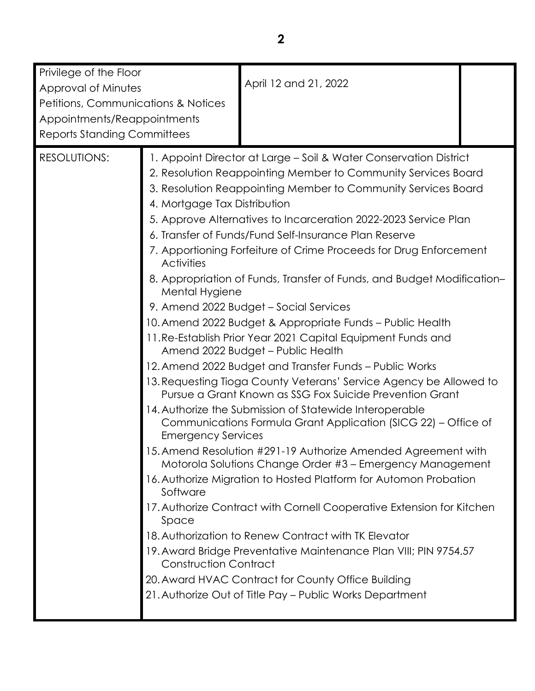| Privilege of the Floor<br>Approval of Minutes<br>Petitions, Communications & Notices<br>Appointments/Reappointments<br><b>Reports Standing Committees</b> |                                                                                                                                                       | April 12 and 21, 2022                                                                                                                                                                                                                                                                                                                                                                                                                                                                                                                                                                                                                                                                                                                                                                                                                                                                                                                                                                                                                                                                                                                                                                                                                                                                                                                                                                                                                                                                                                                         |  |
|-----------------------------------------------------------------------------------------------------------------------------------------------------------|-------------------------------------------------------------------------------------------------------------------------------------------------------|-----------------------------------------------------------------------------------------------------------------------------------------------------------------------------------------------------------------------------------------------------------------------------------------------------------------------------------------------------------------------------------------------------------------------------------------------------------------------------------------------------------------------------------------------------------------------------------------------------------------------------------------------------------------------------------------------------------------------------------------------------------------------------------------------------------------------------------------------------------------------------------------------------------------------------------------------------------------------------------------------------------------------------------------------------------------------------------------------------------------------------------------------------------------------------------------------------------------------------------------------------------------------------------------------------------------------------------------------------------------------------------------------------------------------------------------------------------------------------------------------------------------------------------------------|--|
| <b>RESOLUTIONS:</b>                                                                                                                                       | 4. Mortgage Tax Distribution<br><b>Activities</b><br>Mental Hygiene<br><b>Emergency Services</b><br>Software<br>Space<br><b>Construction Contract</b> | 1. Appoint Director at Large - Soil & Water Conservation District<br>2. Resolution Reappointing Member to Community Services Board<br>3. Resolution Reappointing Member to Community Services Board<br>5. Approve Alternatives to Incarceration 2022-2023 Service Plan<br>6. Transfer of Funds/Fund Self-Insurance Plan Reserve<br>7. Apportioning Forfeiture of Crime Proceeds for Drug Enforcement<br>8. Appropriation of Funds, Transfer of Funds, and Budget Modification-<br>9. Amend 2022 Budget - Social Services<br>10. Amend 2022 Budget & Appropriate Funds - Public Health<br>11. Re-Establish Prior Year 2021 Capital Equipment Funds and<br>Amend 2022 Budget - Public Health<br>12. Amend 2022 Budget and Transfer Funds - Public Works<br>13. Requesting Tioga County Veterans' Service Agency be Allowed to<br>Pursue a Grant Known as SSG Fox Suicide Prevention Grant<br>14. Authorize the Submission of Statewide Interoperable<br>Communications Formula Grant Application (SICG 22) - Office of<br>15. Amend Resolution #291-19 Authorize Amended Agreement with<br>Motorola Solutions Change Order #3 - Emergency Management<br>16. Authorize Migration to Hosted Platform for Automon Probation<br>17. Authorize Contract with Cornell Cooperative Extension for Kitchen<br>18. Authorization to Renew Contract with TK Elevator<br>19. Award Bridge Preventative Maintenance Plan VIII; PIN 9754.57<br>20. Award HVAC Contract for County Office Building<br>21. Authorize Out of Title Pay - Public Works Department |  |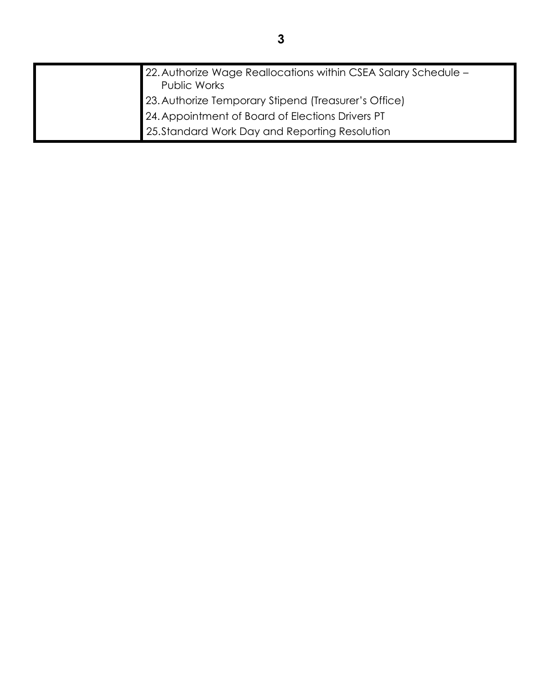| 22. Authorize Wage Reallocations within CSEA Salary Schedule -<br>Public Works                                                                             |
|------------------------------------------------------------------------------------------------------------------------------------------------------------|
| 23. Authorize Temporary Stipend (Treasurer's Office)<br>24. Appointment of Board of Elections Drivers PT<br>25. Standard Work Day and Reporting Resolution |
|                                                                                                                                                            |
|                                                                                                                                                            |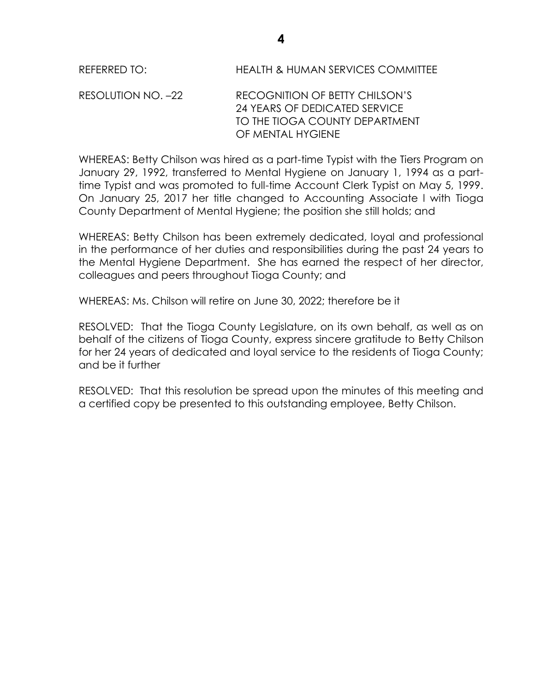REFERRED TO: HEALTH & HUMAN SERVICES COMMITTEE

RESOLUTION NO. –22 RECOGNITION OF BETTY CHILSON'S 24 YEARS OF DEDICATED SERVICE TO THE TIOGA COUNTY DEPARTMENT OF MENTAL HYGIENE

WHEREAS: Betty Chilson was hired as a part-time Typist with the Tiers Program on January 29, 1992, transferred to Mental Hygiene on January 1, 1994 as a parttime Typist and was promoted to full-time Account Clerk Typist on May 5, 1999. On January 25, 2017 her title changed to Accounting Associate l with Tioga County Department of Mental Hygiene; the position she still holds; and

WHEREAS: Betty Chilson has been extremely dedicated, loyal and professional in the performance of her duties and responsibilities during the past 24 years to the Mental Hygiene Department. She has earned the respect of her director, colleagues and peers throughout Tioga County; and

WHEREAS: Ms. Chilson will retire on June 30, 2022; therefore be it

RESOLVED: That the Tioga County Legislature, on its own behalf, as well as on behalf of the citizens of Tioga County, express sincere gratitude to Betty Chilson for her 24 years of dedicated and loyal service to the residents of Tioga County; and be it further

RESOLVED: That this resolution be spread upon the minutes of this meeting and a certified copy be presented to this outstanding employee, Betty Chilson.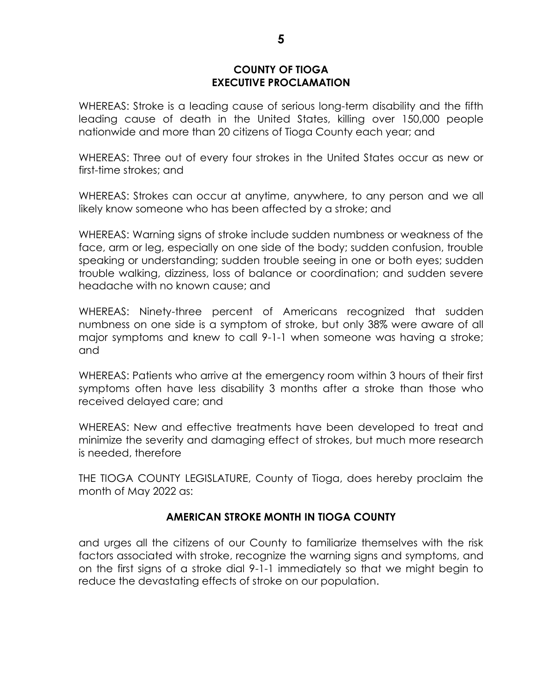### **COUNTY OF TIOGA EXECUTIVE PROCLAMATION**

WHEREAS: Stroke is a leading cause of serious long-term disability and the fifth leading cause of death in the United States, killing over 150,000 people nationwide and more than 20 citizens of Tioga County each year; and

WHEREAS: Three out of every four strokes in the United States occur as new or first-time strokes; and

WHEREAS: Strokes can occur at anytime, anywhere, to any person and we all likely know someone who has been affected by a stroke; and

WHEREAS: Warning signs of stroke include sudden numbness or weakness of the face, arm or leg, especially on one side of the body; sudden confusion, trouble speaking or understanding; sudden trouble seeing in one or both eyes; sudden trouble walking, dizziness, loss of balance or coordination; and sudden severe headache with no known cause; and

WHEREAS: Ninety-three percent of Americans recognized that sudden numbness on one side is a symptom of stroke, but only 38% were aware of all major symptoms and knew to call 9-1-1 when someone was having a stroke; and

WHEREAS: Patients who arrive at the emergency room within 3 hours of their first symptoms often have less disability 3 months after a stroke than those who received delayed care; and

WHEREAS: New and effective treatments have been developed to treat and minimize the severity and damaging effect of strokes, but much more research is needed, therefore

THE TIOGA COUNTY LEGISLATURE, County of Tioga, does hereby proclaim the month of May 2022 as:

# **AMERICAN STROKE MONTH IN TIOGA COUNTY**

and urges all the citizens of our County to familiarize themselves with the risk factors associated with stroke, recognize the warning signs and symptoms, and on the first signs of a stroke dial 9-1-1 immediately so that we might begin to reduce the devastating effects of stroke on our population.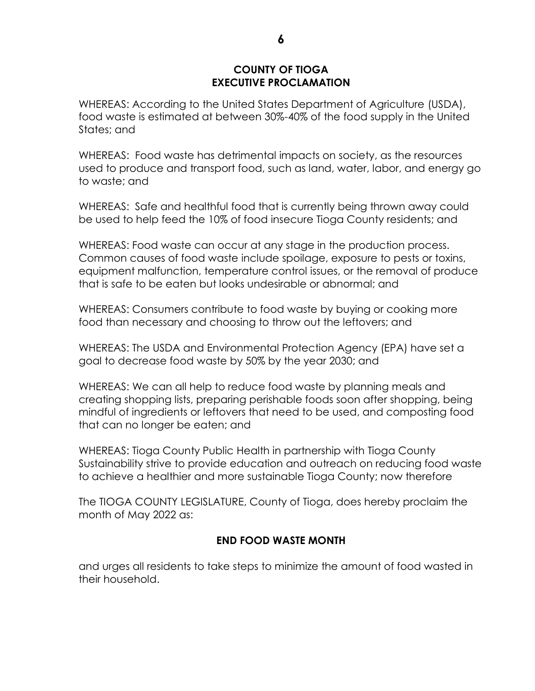## **COUNTY OF TIOGA EXECUTIVE PROCLAMATION**

WHEREAS: According to the United States Department of Agriculture (USDA), food waste is estimated at between 30%-40% of the food supply in the United States; and

WHEREAS: Food waste has detrimental impacts on society, as the resources used to produce and transport food, such as land, water, labor, and energy go to waste; and

WHEREAS: Safe and healthful food that is currently being thrown away could be used to help feed the 10% of food insecure Tioga County residents; and

WHEREAS: Food waste can occur at any stage in the production process. Common causes of food waste include spoilage, exposure to pests or toxins, equipment malfunction, temperature control issues, or the removal of produce that is safe to be eaten but looks undesirable or abnormal; and

WHEREAS: Consumers contribute to food waste by buying or cooking more food than necessary and choosing to throw out the leftovers; and

WHEREAS: The USDA and Environmental Protection Agency (EPA) have set a goal to decrease food waste by 50% by the year 2030; and

WHEREAS: We can all help to reduce food waste by planning meals and creating shopping lists, preparing perishable foods soon after shopping, being mindful of ingredients or leftovers that need to be used, and composting food that can no longer be eaten; and

WHEREAS: Tioga County Public Health in partnership with Tioga County Sustainability strive to provide education and outreach on reducing food waste to achieve a healthier and more sustainable Tioga County; now therefore

The TIOGA COUNTY LEGISLATURE, County of Tioga, does hereby proclaim the month of May 2022 as:

# **END FOOD WASTE MONTH**

and urges all residents to take steps to minimize the amount of food wasted in their household.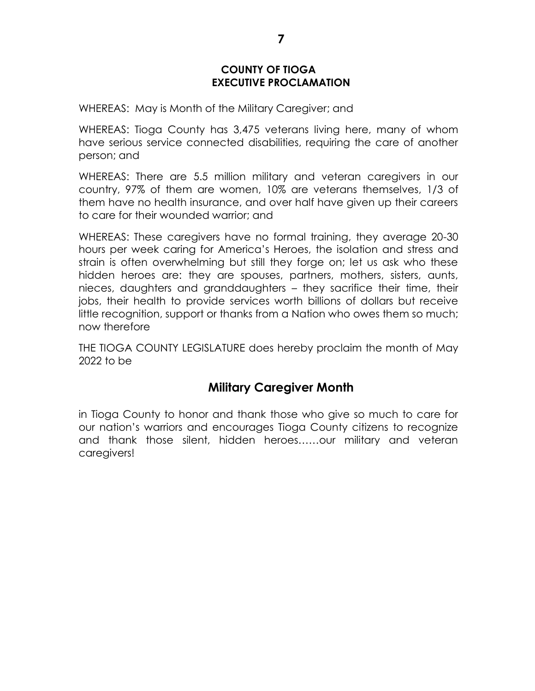# **COUNTY OF TIOGA EXECUTIVE PROCLAMATION**

WHEREAS: May is Month of the Military Caregiver; and

WHEREAS: Tioga County has 3,475 veterans living here, many of whom have serious service connected disabilities, requiring the care of another person; and

WHEREAS: There are 5.5 million military and veteran caregivers in our country, 97% of them are women, 10% are veterans themselves, 1/3 of them have no health insurance, and over half have given up their careers to care for their wounded warrior; and

WHEREAS: These caregivers have no formal training, they average 20-30 hours per week caring for America's Heroes, the isolation and stress and strain is often overwhelming but still they forge on; let us ask who these hidden heroes are: they are spouses, partners, mothers, sisters, aunts, nieces, daughters and granddaughters – they sacrifice their time, their jobs, their health to provide services worth billions of dollars but receive little recognition, support or thanks from a Nation who owes them so much; now therefore

THE TIOGA COUNTY LEGISLATURE does hereby proclaim the month of May 2022 to be

# **Military Caregiver Month**

in Tioga County to honor and thank those who give so much to care for our nation's warriors and encourages Tioga County citizens to recognize and thank those silent, hidden heroes……our military and veteran caregivers!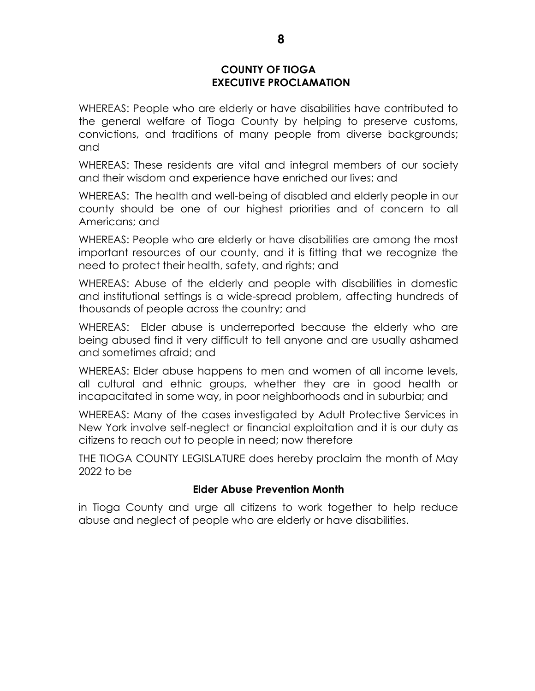### **COUNTY OF TIOGA EXECUTIVE PROCLAMATION**

WHEREAS: People who are elderly or have disabilities have contributed to the general welfare of Tioga County by helping to preserve customs, convictions, and traditions of many people from diverse backgrounds; and

WHEREAS: These residents are vital and integral members of our society and their wisdom and experience have enriched our lives; and

WHEREAS: The health and well-being of disabled and elderly people in our county should be one of our highest priorities and of concern to all Americans; and

WHEREAS: People who are elderly or have disabilities are among the most important resources of our county, and it is fitting that we recognize the need to protect their health, safety, and rights; and

WHEREAS: Abuse of the elderly and people with disabilities in domestic and institutional settings is a wide-spread problem, affecting hundreds of thousands of people across the country; and

WHEREAS: Elder abuse is underreported because the elderly who are being abused find it very difficult to tell anyone and are usually ashamed and sometimes afraid; and

WHEREAS: Elder abuse happens to men and women of all income levels, all cultural and ethnic groups, whether they are in good health or incapacitated in some way, in poor neighborhoods and in suburbia; and

WHEREAS: Many of the cases investigated by Adult Protective Services in New York involve self-neglect or financial exploitation and it is our duty as citizens to reach out to people in need; now therefore

THE TIOGA COUNTY LEGISLATURE does hereby proclaim the month of May 2022 to be

# **Elder Abuse Prevention Month**

in Tioga County and urge all citizens to work together to help reduce abuse and neglect of people who are elderly or have disabilities.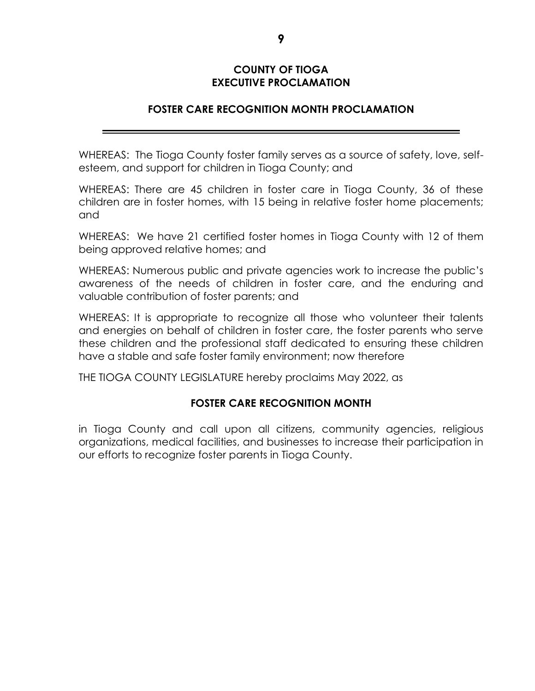# **COUNTY OF TIOGA EXECUTIVE PROCLAMATION**

## **FOSTER CARE RECOGNITION MONTH PROCLAMATION**

WHEREAS: The Tioga County foster family serves as a source of safety, love, selfesteem, and support for children in Tioga County; and

WHEREAS: There are 45 children in foster care in Tioga County, 36 of these children are in foster homes, with 15 being in relative foster home placements; and

WHEREAS: We have 21 certified foster homes in Tioga County with 12 of them being approved relative homes; and

WHEREAS: Numerous public and private agencies work to increase the public's awareness of the needs of children in foster care, and the enduring and valuable contribution of foster parents; and

WHEREAS: It is appropriate to recognize all those who volunteer their talents and energies on behalf of children in foster care, the foster parents who serve these children and the professional staff dedicated to ensuring these children have a stable and safe foster family environment; now therefore

THE TIOGA COUNTY LEGISLATURE hereby proclaims May 2022, as

# **FOSTER CARE RECOGNITION MONTH**

in Tioga County and call upon all citizens, community agencies, religious organizations, medical facilities, and businesses to increase their participation in our efforts to recognize foster parents in Tioga County.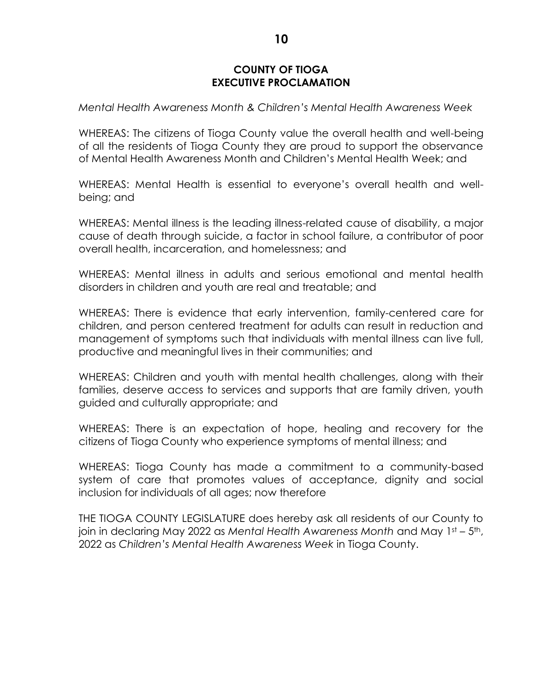## **COUNTY OF TIOGA EXECUTIVE PROCLAMATION**

*Mental Health Awareness Month & Children's Mental Health Awareness Week* 

WHEREAS: The citizens of Tioga County value the overall health and well-being of all the residents of Tioga County they are proud to support the observance of Mental Health Awareness Month and Children's Mental Health Week; and

WHEREAS: Mental Health is essential to everyone's overall health and wellbeing; and

WHEREAS: Mental illness is the leading illness-related cause of disability, a major cause of death through suicide, a factor in school failure, a contributor of poor overall health, incarceration, and homelessness; and

WHEREAS: Mental illness in adults and serious emotional and mental health disorders in children and youth are real and treatable; and

WHEREAS: There is evidence that early intervention, family-centered care for children, and person centered treatment for adults can result in reduction and management of symptoms such that individuals with mental illness can live full, productive and meaningful lives in their communities; and

WHEREAS: Children and youth with mental health challenges, along with their families, deserve access to services and supports that are family driven, youth guided and culturally appropriate; and

WHEREAS: There is an expectation of hope, healing and recovery for the citizens of Tioga County who experience symptoms of mental illness; and

WHEREAS: Tioga County has made a commitment to a community-based system of care that promotes values of acceptance, dignity and social inclusion for individuals of all ages; now therefore

THE TIOGA COUNTY LEGISLATURE does hereby ask all residents of our County to join in declaring May 2022 as *Mental Health Awareness Month* and May 1st – 5th, 2022 as *Children's Mental Health Awareness Week* in Tioga County.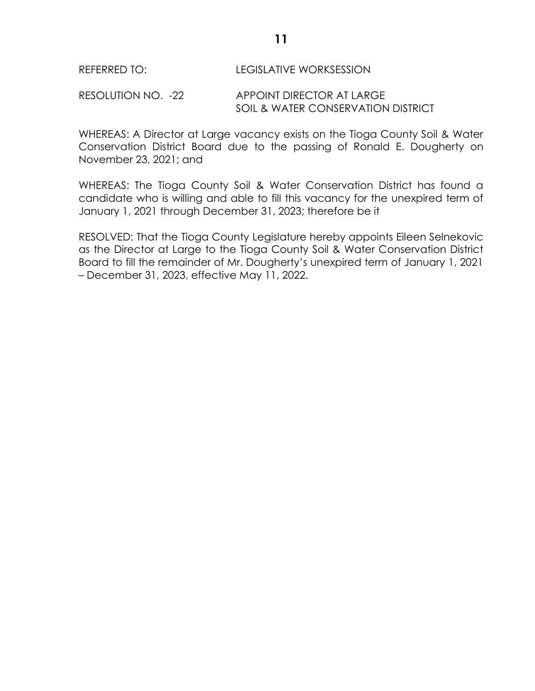#### REFERRED TO: LEGISLATIVE WORKSESSION

RESOLUTION NO. -22 APPOINT DIRECTOR AT LARGE SOIL & WATER CONSERVATION DISTRICT

WHEREAS: A Director at Large vacancy exists on the Tioga County Soil & Water Conservation District Board due to the passing of Ronald E. Dougherty on November 23, 2021; and

WHEREAS: The Tioga County Soil & Water Conservation District has found a candidate who is willing and able to fill this vacancy for the unexpired term of January 1, 2021 through December 31, 2023; therefore be it

RESOLVED: That the Tioga County Legislature hereby appoints Eileen Selnekovic as the Director at Large to the Tioga County Soil & Water Conservation District Board to fill the remainder of Mr. Dougherty's unexpired term of January 1, 2021 – December 31, 2023, effective May 11, 2022.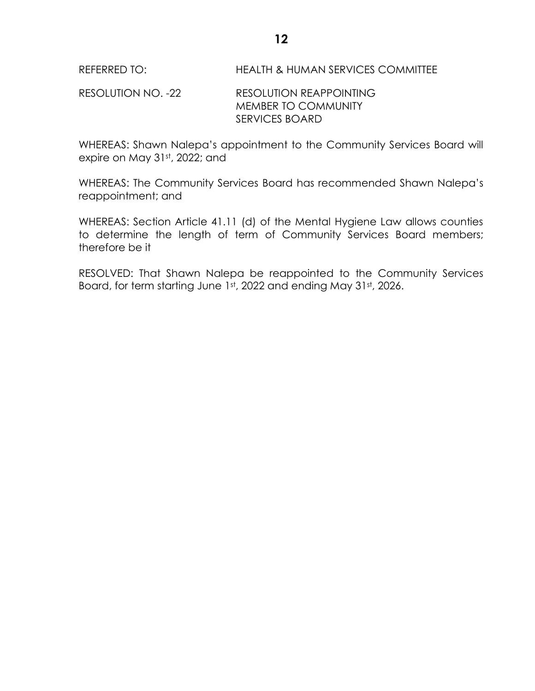RESOLUTION NO. -22 RESOLUTION REAPPOINTING MEMBER TO COMMUNITY SERVICES BOARD

WHEREAS: Shawn Nalepa's appointment to the Community Services Board will expire on May 31st, 2022; and

WHEREAS: The Community Services Board has recommended Shawn Nalepa's reappointment; and

WHEREAS: Section Article 41.11 (d) of the Mental Hygiene Law allows counties to determine the length of term of Community Services Board members; therefore be it

RESOLVED: That Shawn Nalepa be reappointed to the Community Services Board, for term starting June 1st, 2022 and ending May 31st, 2026.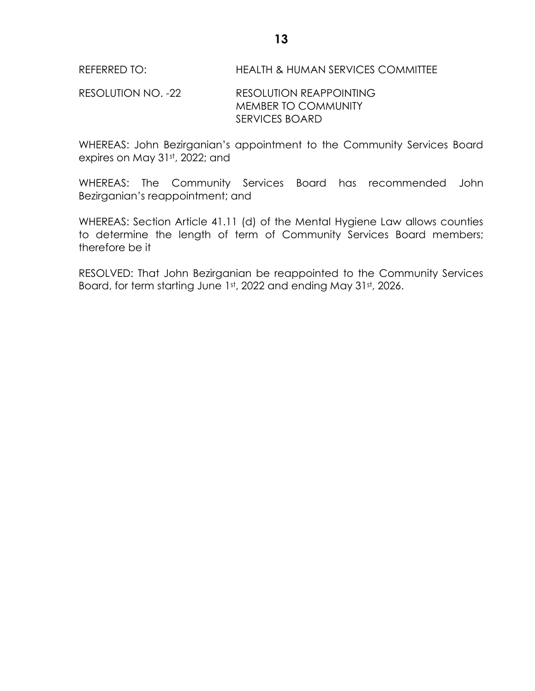RESOLUTION NO. -22 RESOLUTION REAPPOINTING MEMBER TO COMMUNITY SERVICES BOARD

WHEREAS: John Bezirganian's appointment to the Community Services Board expires on May 31st, 2022; and

WHEREAS: The Community Services Board has recommended John Bezirganian's reappointment; and

WHEREAS: Section Article 41.11 (d) of the Mental Hygiene Law allows counties to determine the length of term of Community Services Board members; therefore be it

RESOLVED: That John Bezirganian be reappointed to the Community Services Board, for term starting June 1st, 2022 and ending May 31st, 2026.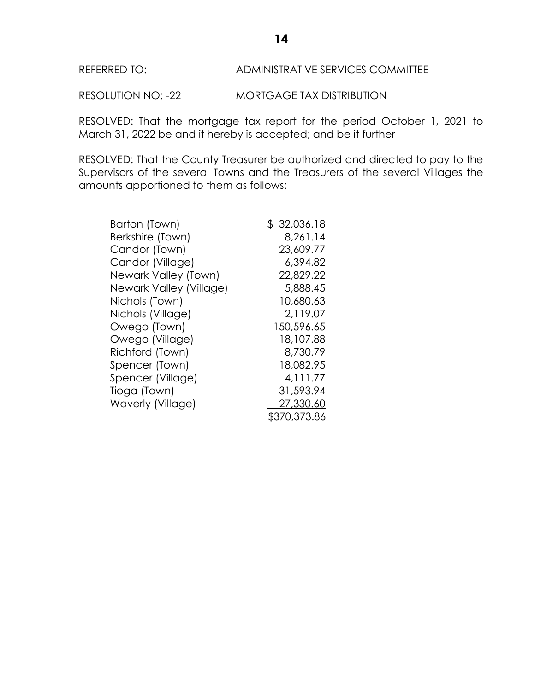#### REFERRED TO: ADMINISTRATIVE SERVICES COMMITTEE

RESOLUTION NO: -22 MORTGAGE TAX DISTRIBUTION

RESOLVED: That the mortgage tax report for the period October 1, 2021 to March 31, 2022 be and it hereby is accepted; and be it further

RESOLVED: That the County Treasurer be authorized and directed to pay to the Supervisors of the several Towns and the Treasurers of the several Villages the amounts apportioned to them as follows:

| Barton (Town)           | \$32,036.18  |
|-------------------------|--------------|
| Berkshire (Town)        | 8,261.14     |
| Candor (Town)           | 23,609.77    |
| Candor (Village)        | 6.394.82     |
| Newark Valley (Town)    | 22,829.22    |
| Newark Valley (Village) | 5,888.45     |
| Nichols (Town)          | 10,680.63    |
| Nichols (Village)       | 2,119.07     |
| Owego (Town)            | 150,596.65   |
| Owego (Village)         | 18,107.88    |
| Richford (Town)         | 8,730.79     |
| Spencer (Town)          | 18,082.95    |
| Spencer (Village)       | 4, 111.77    |
| Tioga (Town)            | 31,593.94    |
| Waverly (Village)       | 27,330.60    |
|                         | \$370,373.86 |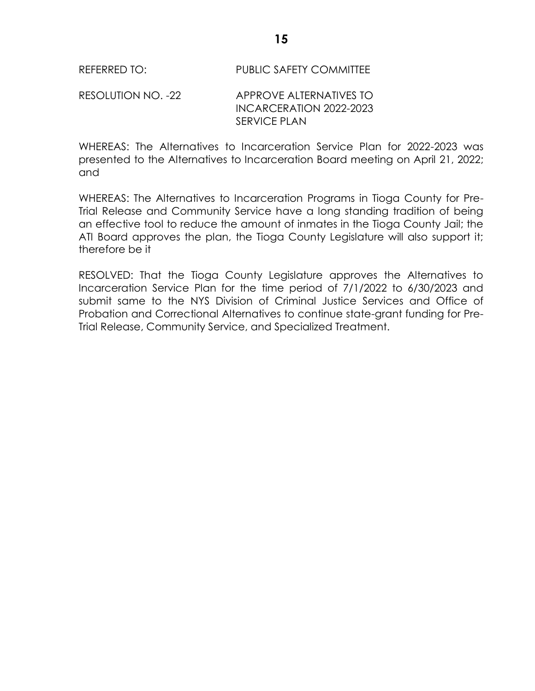#### RESOLUTION NO. -22 APPROVE ALTERNATIVES TO INCARCERATION 2022-2023 SERVICE PLAN

WHEREAS: The Alternatives to Incarceration Service Plan for 2022-2023 was presented to the Alternatives to Incarceration Board meeting on April 21, 2022; and

WHEREAS: The Alternatives to Incarceration Programs in Tioga County for Pre-Trial Release and Community Service have a long standing tradition of being an effective tool to reduce the amount of inmates in the Tioga County Jail; the ATI Board approves the plan, the Tioga County Legislature will also support it; therefore be it

RESOLVED: That the Tioga County Legislature approves the Alternatives to Incarceration Service Plan for the time period of 7/1/2022 to 6/30/2023 and submit same to the NYS Division of Criminal Justice Services and Office of Probation and Correctional Alternatives to continue state-grant funding for Pre-Trial Release, Community Service, and Specialized Treatment.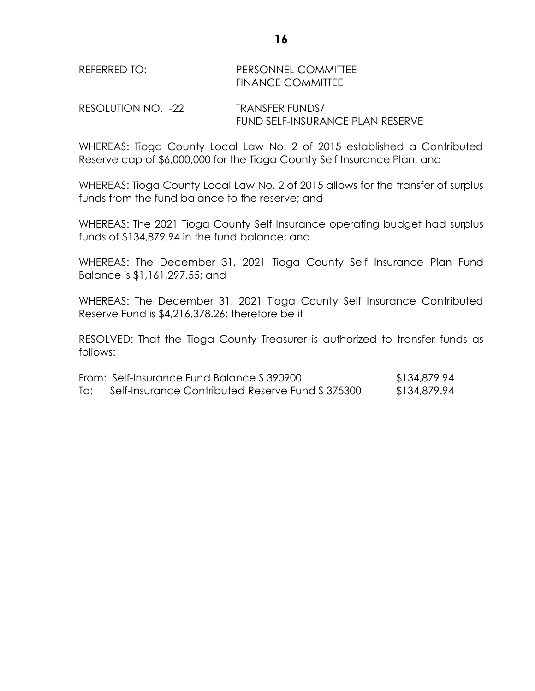# REFERRED TO: PERSONNEL COMMITTEE FINANCE COMMITTEE

RESOLUTION NO. -22 TRANSFER FUNDS/ FUND SELF-INSURANCE PLAN RESERVE

WHEREAS: Tioga County Local Law No. 2 of 2015 established a Contributed Reserve cap of \$6,000,000 for the Tioga County Self Insurance Plan; and

WHEREAS: Tioga County Local Law No. 2 of 2015 allows for the transfer of surplus funds from the fund balance to the reserve; and

WHEREAS: The 2021 Tioga County Self Insurance operating budget had surplus funds of \$134,879.94 in the fund balance; and

WHEREAS: The December 31, 2021 Tioga County Self Insurance Plan Fund Balance is \$1,161,297.55; and

WHEREAS: The December 31, 2021 Tioga County Self Insurance Contributed Reserve Fund is \$4,216,378.26; therefore be it

RESOLVED: That the Tioga County Treasurer is authorized to transfer funds as follows:

|     | From: Self-Insurance Fund Balance S 390900       | \$134,879.94 |
|-----|--------------------------------------------------|--------------|
| To: | Self-Insurance Contributed Reserve Fund \$375300 | \$134,879.94 |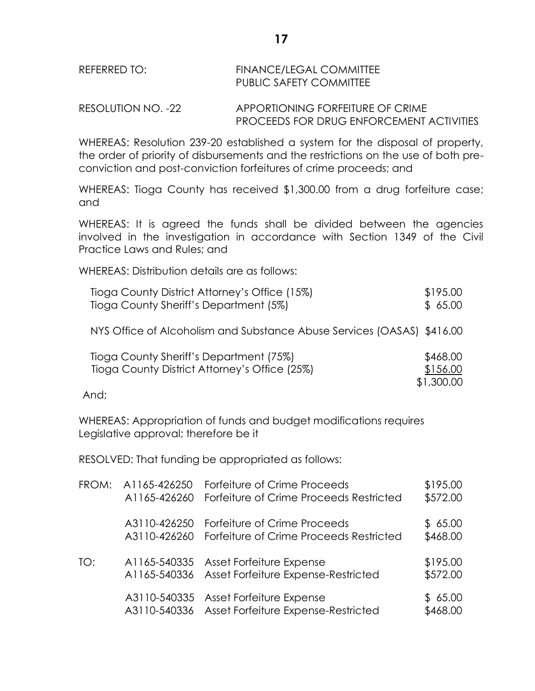# REFERRED TO: FINANCE/LEGAL COMMITTEE PUBLIC SAFETY COMMITTEE

RESOLUTION NO. -22 APPORTIONING FORFEITURE OF CRIME PROCEEDS FOR DRUG ENFORCEMENT ACTIVITIES

WHEREAS: Resolution 239-20 established a system for the disposal of property, the order of priority of disbursements and the restrictions on the use of both preconviction and post-conviction forfeitures of crime proceeds; and

WHEREAS: Tioga County has received \$1,300.00 from a drug forfeiture case; and

WHEREAS: It is agreed the funds shall be divided between the agencies involved in the investigation in accordance with Section 1349 of the Civil Practice Laws and Rules; and

WHEREAS: Distribution details are as follows:

| Tioga County District Attorney's Office (15%) | \$195.00 |
|-----------------------------------------------|----------|
| Tioga County Sheriff's Department (5%)        | \$65.00  |

NYS Office of Alcoholism and Substance Abuse Services (OASAS) \$416.00

| Tioga County Sheriff's Department (75%)       | \$468.00   |
|-----------------------------------------------|------------|
| Tioga County District Attorney's Office (25%) | \$156.00   |
|                                               | \$1,300.00 |

And;

WHEREAS: Appropriation of funds and budget modifications requires Legislative approval; therefore be it

RESOLVED: That funding be appropriated as follows:

| FROM: | A1165-426250 | Forfeiture of Crime Proceeds                                                 | \$195.00             |
|-------|--------------|------------------------------------------------------------------------------|----------------------|
|       | A1165-426260 | Forfeiture of Crime Proceeds Restricted                                      | \$572.00             |
|       | A3110-426250 | Forfeiture of Crime Proceeds                                                 | \$65.00              |
|       | A3110-426260 | Forfeiture of Crime Proceeds Restricted                                      | \$468.00             |
| TO:   | A1165-540336 | A1165-540335 Asset Forfeiture Expense<br>Asset Forfeiture Expense-Restricted | \$195.00<br>\$572.00 |
|       | A3110-540335 | Asset Forfeiture Expense<br>A3110-540336 Asset Forfeiture Expense-Restricted | \$65.00<br>\$468.00  |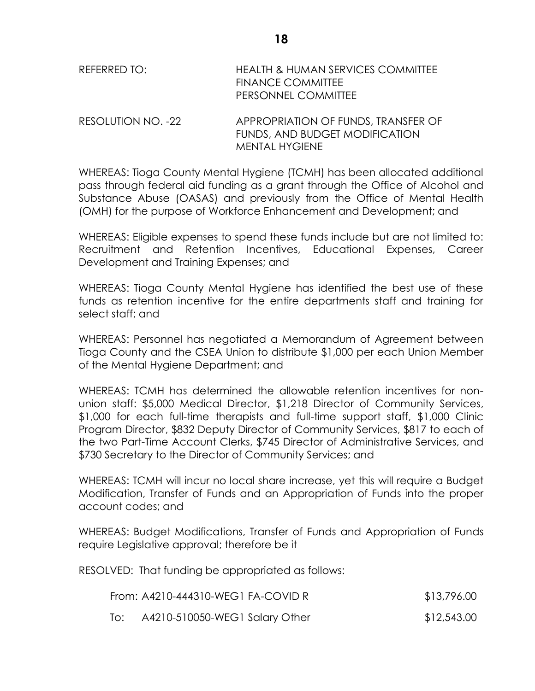| REFERRED TO:       | HEALTH & HUMAN SERVICES COMMITTEE<br><b>FINANCE COMMITTEE</b><br>PERSONNEL COMMITTEE |
|--------------------|--------------------------------------------------------------------------------------|
| RESOLLITION NO 199 | APPROPRIATION OF FUNDS TRANSFER OF                                                   |

RESOLUTION NO. -22 APPROPRIATION OF FUNDS, TRANSFER OF FUNDS, AND BUDGET MODIFICATION MENTAL HYGIENE

WHEREAS: Tioga County Mental Hygiene (TCMH) has been allocated additional pass through federal aid funding as a grant through the Office of Alcohol and Substance Abuse (OASAS) and previously from the Office of Mental Health (OMH) for the purpose of Workforce Enhancement and Development; and

WHEREAS: Eligible expenses to spend these funds include but are not limited to: Recruitment and Retention Incentives, Educational Expenses, Career Development and Training Expenses; and

WHEREAS: Tioga County Mental Hygiene has identified the best use of these funds as retention incentive for the entire departments staff and training for select staff; and

WHEREAS: Personnel has negotiated a Memorandum of Agreement between Tioga County and the CSEA Union to distribute \$1,000 per each Union Member of the Mental Hygiene Department; and

WHEREAS: TCMH has determined the allowable retention incentives for nonunion staff: \$5,000 Medical Director, \$1,218 Director of Community Services, \$1,000 for each full-time therapists and full-time support staff, \$1,000 Clinic Program Director, \$832 Deputy Director of Community Services, \$817 to each of the two Part-Time Account Clerks, \$745 Director of Administrative Services, and \$730 Secretary to the Director of Community Services; and

WHEREAS: TCMH will incur no local share increase, yet this will require a Budget Modification, Transfer of Funds and an Appropriation of Funds into the proper account codes; and

WHEREAS: Budget Modifications, Transfer of Funds and Appropriation of Funds require Legislative approval; therefore be it

RESOLVED: That funding be appropriated as follows:

|     | From: A4210-444310-WEG1 FA-COVID R | \$13,796.00 |
|-----|------------------------------------|-------------|
| To: | A4210-510050-WEG1 Salary Other     | \$12,543.00 |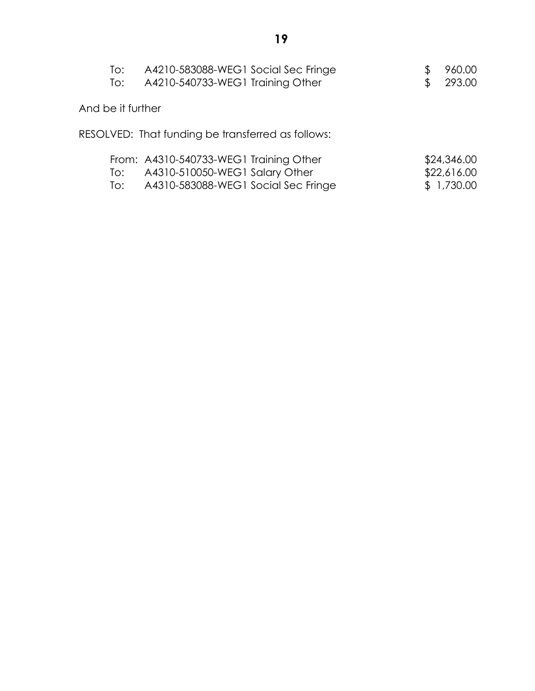| To:<br>To:        | A4210-583088-WEG1 Social Sec Fringe<br>A4210-540733-WEG1 Training Other                                         | 960.00<br>293.00                         |
|-------------------|-----------------------------------------------------------------------------------------------------------------|------------------------------------------|
| And be it further |                                                                                                                 |                                          |
|                   | RESOLVED: That funding be transferred as follows:                                                               |                                          |
| To:<br>To:        | From: A4310-540733-WEG1 Training Other<br>A4310-510050-WEG1 Salary Other<br>A4310-583088-WEG1 Social Sec Fringe | \$24,346.00<br>\$22,616.00<br>\$1,730.00 |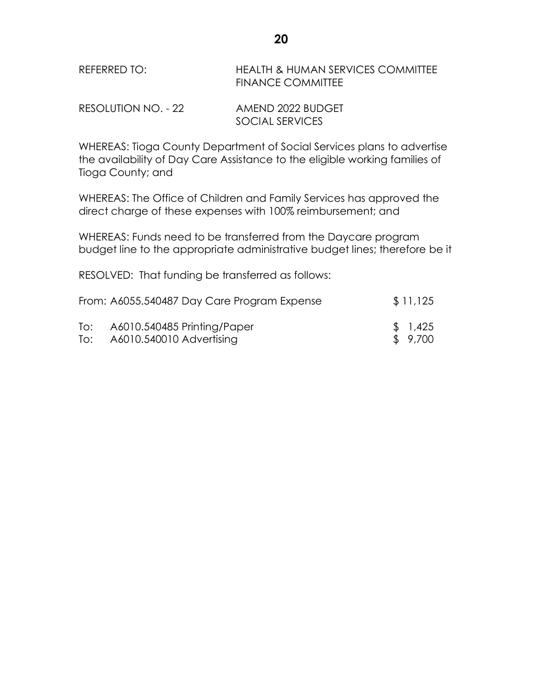| REFERRED TO: | HEALTH & HUMAN SERVICES COMMITTEE |
|--------------|-----------------------------------|
|              | <b>FINANCE COMMITTEE</b>          |

| RESOLUTION NO. - 22 | AMEND 2022 BUDGET |
|---------------------|-------------------|
|                     | SOCIAL SERVICES   |

WHEREAS: Tioga County Department of Social Services plans to advertise the availability of Day Care Assistance to the eligible working families of Tioga County; and

WHEREAS: The Office of Children and Family Services has approved the direct charge of these expenses with 100% reimbursement; and

WHEREAS: Funds need to be transferred from the Daycare program budget line to the appropriate administrative budget lines; therefore be it

RESOLVED: That funding be transferred as follows:

|     | From: A6055.540487 Day Care Program Expense | \$11,125 |
|-----|---------------------------------------------|----------|
| To: | A6010.540485 Printing/Paper                 | \$1,425  |
| To: | A6010.540010 Advertising                    | \$ 9,700 |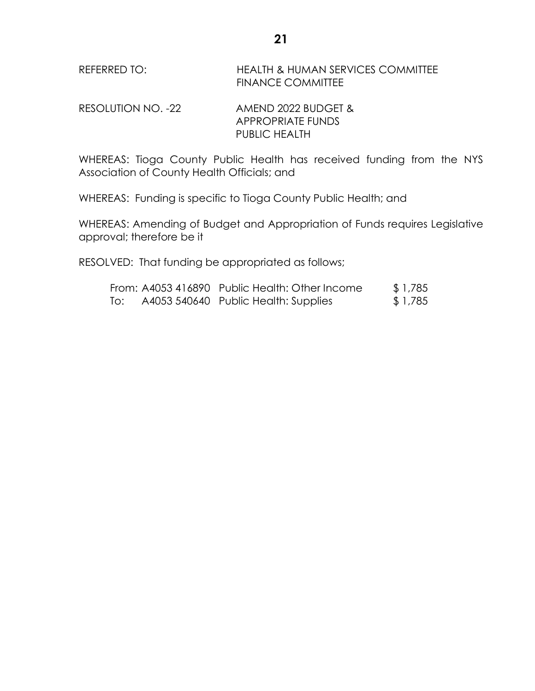RESOLUTION NO. -22 AMEND 2022 BUDGET & APPROPRIATE FUNDS PUBLIC HEALTH

WHEREAS: Tioga County Public Health has received funding from the NYS Association of County Health Officials; and

WHEREAS: Funding is specific to Tioga County Public Health; and

WHEREAS: Amending of Budget and Appropriation of Funds requires Legislative approval; therefore be it

RESOLVED: That funding be appropriated as follows;

|     | From: A4053 416890 Public Health: Other Income | \$1,785 |
|-----|------------------------------------------------|---------|
| To: | A4053 540640 Public Health: Supplies           | \$1,785 |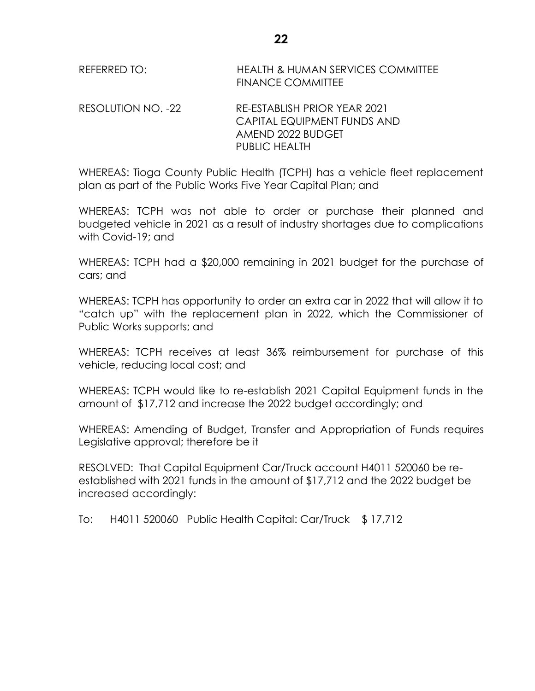REFERRED TO: HEALTH & HUMAN SERVICES COMMITTEE FINANCE COMMITTEE

RESOLUTION NO. -22 RE-ESTABLISH PRIOR YEAR 2021 CAPITAL EQUIPMENT FUNDS AND AMEND 2022 BUDGET PUBLIC HEALTH

WHEREAS: Tioga County Public Health (TCPH) has a vehicle fleet replacement plan as part of the Public Works Five Year Capital Plan; and

WHEREAS: TCPH was not able to order or purchase their planned and budgeted vehicle in 2021 as a result of industry shortages due to complications with Covid-19; and

WHEREAS: TCPH had a \$20,000 remaining in 2021 budget for the purchase of cars; and

WHEREAS: TCPH has opportunity to order an extra car in 2022 that will allow it to "catch up" with the replacement plan in 2022, which the Commissioner of Public Works supports; and

WHEREAS: TCPH receives at least 36% reimbursement for purchase of this vehicle, reducing local cost; and

WHEREAS: TCPH would like to re-establish 2021 Capital Equipment funds in the amount of \$17,712 and increase the 2022 budget accordingly; and

WHEREAS: Amending of Budget, Transfer and Appropriation of Funds requires Legislative approval; therefore be it

RESOLVED: That Capital Equipment Car/Truck account H4011 520060 be reestablished with 2021 funds in the amount of \$17,712 and the 2022 budget be increased accordingly:

To: H4011 520060 Public Health Capital: Car/Truck \$ 17,712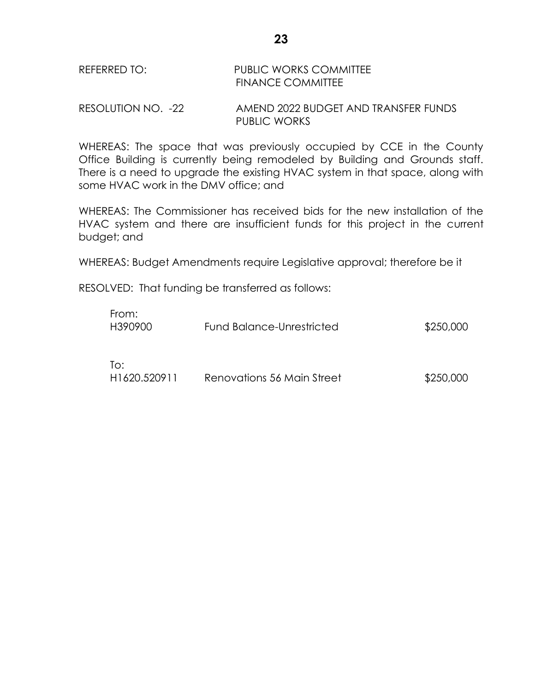# REFERRED TO: PUBLIC WORKS COMMITTEE FINANCE COMMITTEE

RESOLUTION NO. -22 AMEND 2022 BUDGET AND TRANSFER FUNDS PUBLIC WORKS

WHEREAS: The space that was previously occupied by CCE in the County Office Building is currently being remodeled by Building and Grounds staff. There is a need to upgrade the existing HVAC system in that space, along with some HVAC work in the DMV office; and

WHEREAS: The Commissioner has received bids for the new installation of the HVAC system and there are insufficient funds for this project in the current budget; and

WHEREAS: Budget Amendments require Legislative approval; therefore be it

RESOLVED: That funding be transferred as follows:

| From:<br>H390900                 | Fund Balance-Unrestricted  | \$250,000 |
|----------------------------------|----------------------------|-----------|
| To:<br>H <sub>1620</sub> .520911 | Renovations 56 Main Street | \$250,000 |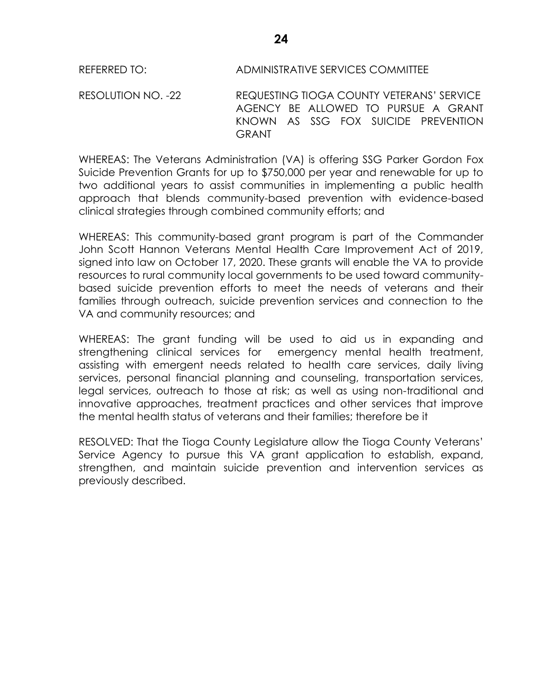# REFERRED TO: ADMINISTRATIVE SERVICES COMMITTEE

RESOLUTION NO. -22 REQUESTING TIOGA COUNTY VETERANS' SERVICE AGENCY BE ALLOWED TO PURSUE A GRANT KNOWN AS SSG FOX SUICIDE PREVENTION GRANT

WHEREAS: The Veterans Administration (VA) is offering SSG Parker Gordon Fox Suicide Prevention Grants for up to \$750,000 per year and renewable for up to two additional years to assist communities in implementing a public health approach that blends community-based prevention with evidence-based clinical strategies through combined community efforts; and

WHEREAS: This community-based grant program is part of the Commander John Scott Hannon Veterans Mental Health Care Improvement Act of 2019, signed into law on October 17, 2020. These grants will enable the VA to provide resources to rural community local governments to be used toward communitybased suicide prevention efforts to meet the needs of veterans and their families through outreach, suicide prevention services and connection to the VA and community resources; and

WHEREAS: The grant funding will be used to aid us in expanding and strengthening clinical services for emergency mental health treatment, assisting with emergent needs related to health care services, daily living services, personal financial planning and counseling, transportation services, legal services, outreach to those at risk; as well as using non-traditional and innovative approaches, treatment practices and other services that improve the mental health status of veterans and their families; therefore be it

RESOLVED: That the Tioga County Legislature allow the Tioga County Veterans' Service Agency to pursue this VA grant application to establish, expand, strengthen, and maintain suicide prevention and intervention services as previously described.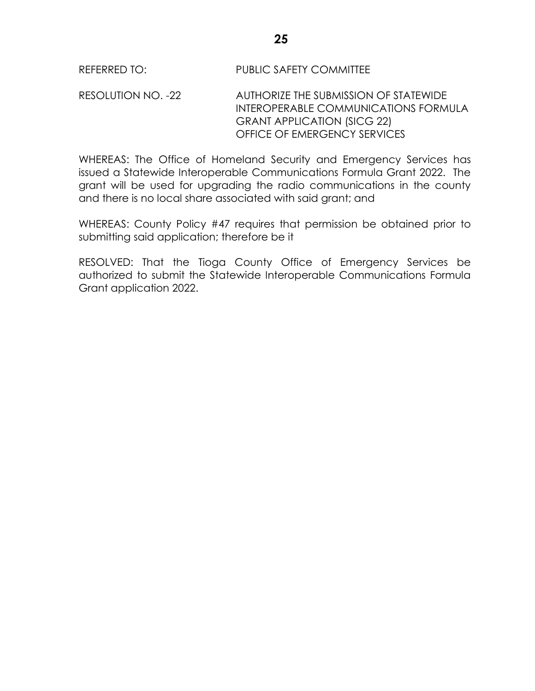RESOLUTION NO. -22 AUTHORIZE THE SUBMISSION OF STATEWIDE INTEROPERABLE COMMUNICATIONS FORMULA GRANT APPLICATION (SICG 22) OFFICE OF EMERGENCY SERVICES

WHEREAS: The Office of Homeland Security and Emergency Services has issued a Statewide Interoperable Communications Formula Grant 2022. The grant will be used for upgrading the radio communications in the county and there is no local share associated with said grant; and

WHEREAS: County Policy #47 requires that permission be obtained prior to submitting said application; therefore be it

RESOLVED: That the Tioga County Office of Emergency Services be authorized to submit the Statewide Interoperable Communications Formula Grant application 2022.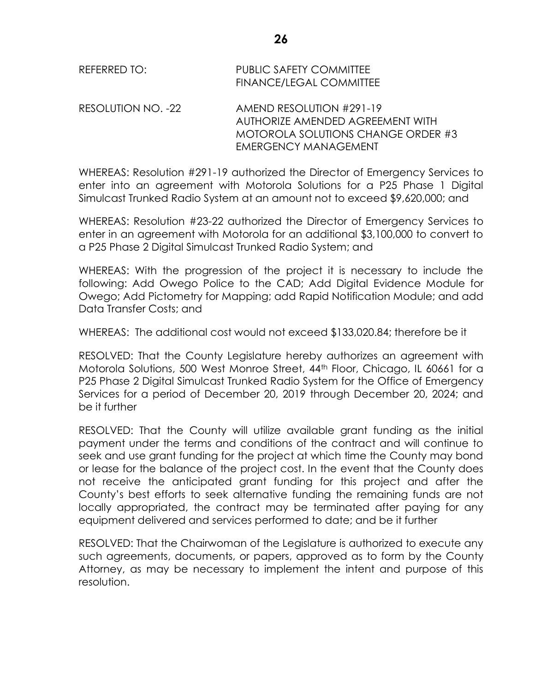| REFERRED TO:       | <b>PUBLIC SAFETY COMMITTEE</b><br><b>FINANCE/LEGAL COMMITTEE</b> |
|--------------------|------------------------------------------------------------------|
| RESOLUTION NO. -22 | AMEND RESOLUTION #291-19                                         |
|                    | AUTHORIZE AMENDED AGREEMENT WITH                                 |
|                    | MOTOROLA SOLUTIONS CHANGE ORDER #3                               |

WHEREAS: Resolution #291-19 authorized the Director of Emergency Services to enter into an agreement with Motorola Solutions for a P25 Phase 1 Digital Simulcast Trunked Radio System at an amount not to exceed \$9,620,000; and

EMERGENCY MANAGEMENT

WHEREAS: Resolution #23-22 authorized the Director of Emergency Services to enter in an agreement with Motorola for an additional \$3,100,000 to convert to a P25 Phase 2 Digital Simulcast Trunked Radio System; and

WHEREAS: With the progression of the project it is necessary to include the following: Add Owego Police to the CAD; Add Digital Evidence Module for Owego; Add Pictometry for Mapping; add Rapid Notification Module; and add Data Transfer Costs; and

WHEREAS: The additional cost would not exceed \$133,020.84; therefore be it

RESOLVED: That the County Legislature hereby authorizes an agreement with Motorola Solutions, 500 West Monroe Street, 44th Floor, Chicago, IL 60661 for a P25 Phase 2 Digital Simulcast Trunked Radio System for the Office of Emergency Services for a period of December 20, 2019 through December 20, 2024; and be it further

RESOLVED: That the County will utilize available grant funding as the initial payment under the terms and conditions of the contract and will continue to seek and use grant funding for the project at which time the County may bond or lease for the balance of the project cost. In the event that the County does not receive the anticipated grant funding for this project and after the County's best efforts to seek alternative funding the remaining funds are not locally appropriated, the contract may be terminated after paying for any equipment delivered and services performed to date; and be it further

RESOLVED: That the Chairwoman of the Legislature is authorized to execute any such agreements, documents, or papers, approved as to form by the County Attorney, as may be necessary to implement the intent and purpose of this resolution.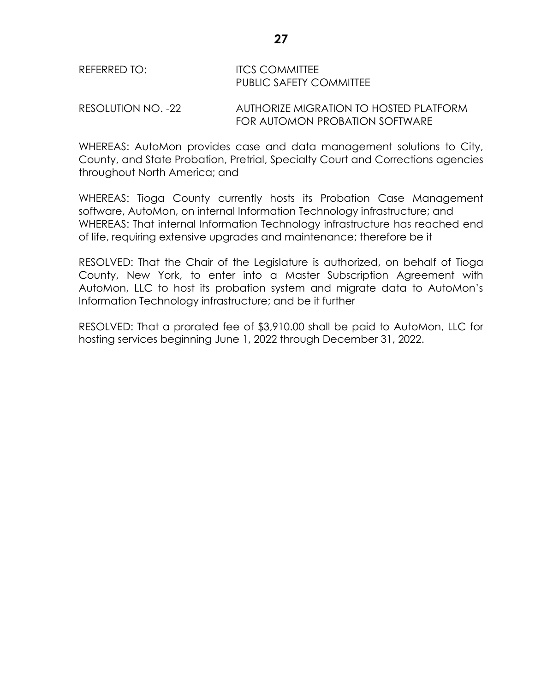# REFERRED TO: **ITCS COMMITTEE** PUBLIC SAFETY COMMITTEE

RESOLUTION NO. -22 AUTHORIZE MIGRATION TO HOSTED PLATFORM FOR AUTOMON PROBATION SOFTWARE

WHEREAS: AutoMon provides case and data management solutions to City, County, and State Probation, Pretrial, Specialty Court and Corrections agencies throughout North America; and

WHEREAS: Tioga County currently hosts its Probation Case Management software, AutoMon, on internal Information Technology infrastructure; and WHEREAS: That internal Information Technology infrastructure has reached end of life, requiring extensive upgrades and maintenance; therefore be it

RESOLVED: That the Chair of the Legislature is authorized, on behalf of Tioga County, New York, to enter into a Master Subscription Agreement with AutoMon, LLC to host its probation system and migrate data to AutoMon's Information Technology infrastructure; and be it further

RESOLVED: That a prorated fee of \$3,910.00 shall be paid to AutoMon, LLC for hosting services beginning June 1, 2022 through December 31, 2022.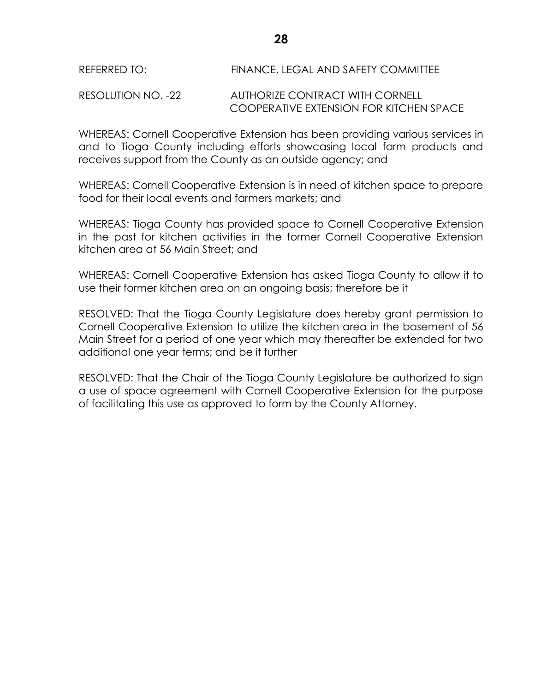### REFERRED TO: FINANCE, LEGAL AND SAFETY COMMITTEE

RESOLUTION NO. -22 AUTHORIZE CONTRACT WITH CORNELL COOPERATIVE EXTENSION FOR KITCHEN SPACE

WHEREAS: Cornell Cooperative Extension has been providing various services in and to Tioga County including efforts showcasing local farm products and receives support from the County as an outside agency; and

WHEREAS: Cornell Cooperative Extension is in need of kitchen space to prepare food for their local events and farmers markets; and

WHEREAS: Tioga County has provided space to Cornell Cooperative Extension in the past for kitchen activities in the former Cornell Cooperative Extension kitchen area at 56 Main Street; and

WHEREAS: Cornell Cooperative Extension has asked Tioga County to allow it to use their former kitchen area on an ongoing basis; therefore be it

RESOLVED: That the Tioga County Legislature does hereby grant permission to Cornell Cooperative Extension to utilize the kitchen area in the basement of 56 Main Street for a period of one year which may thereafter be extended for two additional one year terms; and be it further

RESOLVED: That the Chair of the Tioga County Legislature be authorized to sign a use of space agreement with Cornell Cooperative Extension for the purpose of facilitating this use as approved to form by the County Attorney.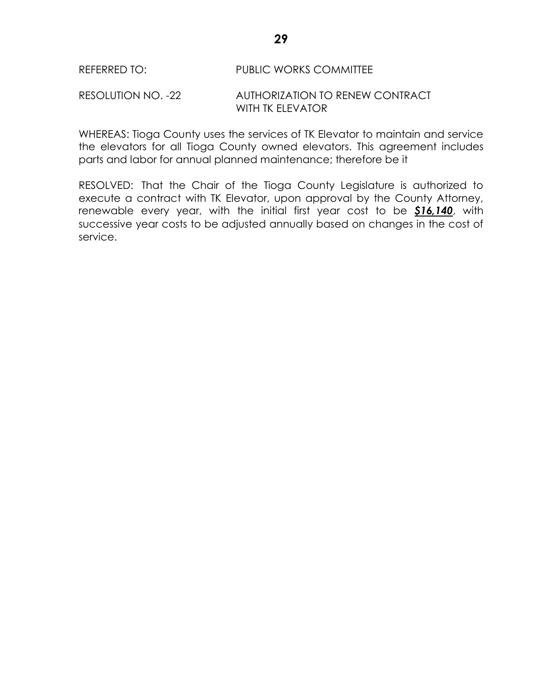## REFERRED TO: PUBLIC WORKS COMMITTEE

#### RESOLUTION NO. -22 AUTHORIZATION TO RENEW CONTRACT WITH TK ELEVATOR

WHEREAS: Tioga County uses the services of TK Elevator to maintain and service the elevators for all Tioga County owned elevators. This agreement includes parts and labor for annual planned maintenance; therefore be it

RESOLVED: That the Chair of the Tioga County Legislature is authorized to execute a contract with TK Elevator, upon approval by the County Attorney, renewable every year, with the initial first year cost to be *\$16,140*, with successive year costs to be adjusted annually based on changes in the cost of service.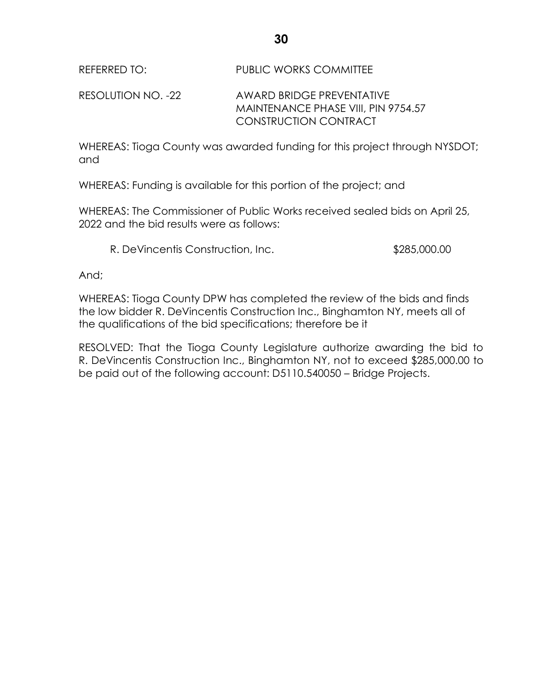RESOLUTION NO. -22 AWARD BRIDGE PREVENTATIVE MAINTENANCE PHASE VIII, PIN 9754.57 CONSTRUCTION CONTRACT

WHEREAS: Tioga County was awarded funding for this project through NYSDOT; and

WHEREAS: Funding is available for this portion of the project; and

WHEREAS: The Commissioner of Public Works received sealed bids on April 25, 2022 and the bid results were as follows:

R. DeVincentis Construction, Inc.  $$285,000.00$ 

And;

WHEREAS: Tioga County DPW has completed the review of the bids and finds the low bidder R. DeVincentis Construction Inc., Binghamton NY, meets all of the qualifications of the bid specifications; therefore be it

RESOLVED: That the Tioga County Legislature authorize awarding the bid to R. DeVincentis Construction Inc., Binghamton NY, not to exceed \$285,000.00 to be paid out of the following account: D5110.540050 – Bridge Projects.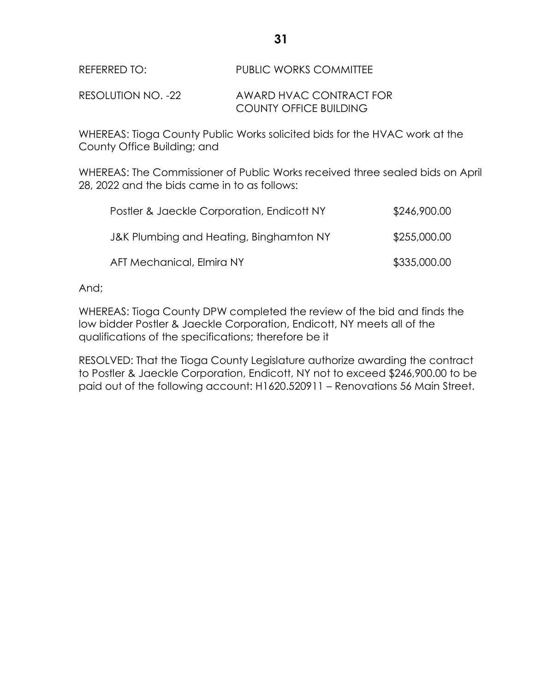### REFERRED TO: PUBLIC WORKS COMMITTEE

RESOLUTION NO. -22 AWARD HVAC CONTRACT FOR COUNTY OFFICE BUILDING

WHEREAS: Tioga County Public Works solicited bids for the HVAC work at the County Office Building; and

WHEREAS: The Commissioner of Public Works received three sealed bids on April 28, 2022 and the bids came in to as follows:

| Postler & Jaeckle Corporation, Endicott NY | \$246,900.00 |
|--------------------------------------------|--------------|
| J&K Plumbing and Heating, Binghamton NY    | \$255,000.00 |
| AFT Mechanical, Elmira NY                  | \$335,000.00 |

And;

WHEREAS: Tioga County DPW completed the review of the bid and finds the low bidder Postler & Jaeckle Corporation, Endicott, NY meets all of the qualifications of the specifications; therefore be it

RESOLVED: That the Tioga County Legislature authorize awarding the contract to Postler & Jaeckle Corporation, Endicott, NY not to exceed \$246,900.00 to be paid out of the following account: H1620.520911 – Renovations 56 Main Street.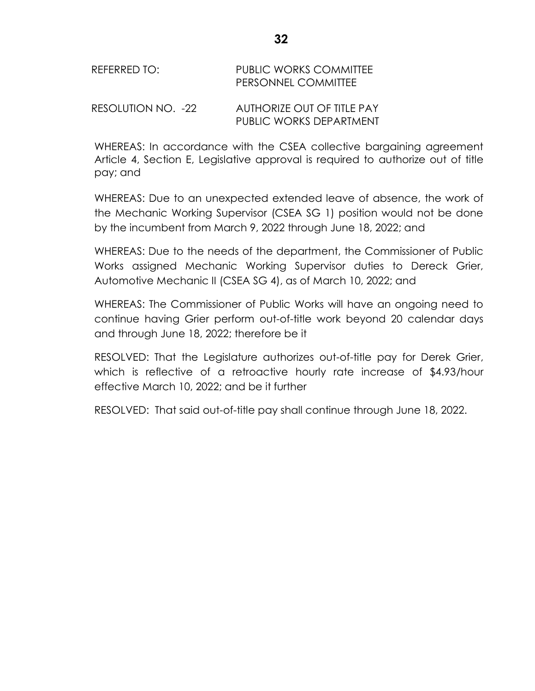| REFERRED TO: | <b>PUBLIC WORKS COMMITTEE</b> |
|--------------|-------------------------------|
|              | <b>PERSONNEL COMMITTEE</b>    |
|              |                               |

RESOLUTION NO. -22 AUTHORIZE OUT OF TITLE PAY PUBLIC WORKS DEPARTMENT

WHEREAS: In accordance with the CSEA collective bargaining agreement Article 4, Section E, Legislative approval is required to authorize out of title pay; and

WHEREAS: Due to an unexpected extended leave of absence, the work of the Mechanic Working Supervisor (CSEA SG 1) position would not be done by the incumbent from March 9, 2022 through June 18, 2022; and

WHEREAS: Due to the needs of the department, the Commissioner of Public Works assigned Mechanic Working Supervisor duties to Dereck Grier, Automotive Mechanic II (CSEA SG 4), as of March 10, 2022; and

WHEREAS: The Commissioner of Public Works will have an ongoing need to continue having Grier perform out-of-title work beyond 20 calendar days and through June 18, 2022; therefore be it

RESOLVED: That the Legislature authorizes out-of-title pay for Derek Grier, which is reflective of a retroactive hourly rate increase of \$4.93/hour effective March 10, 2022; and be it further

RESOLVED: That said out-of-title pay shall continue through June 18, 2022.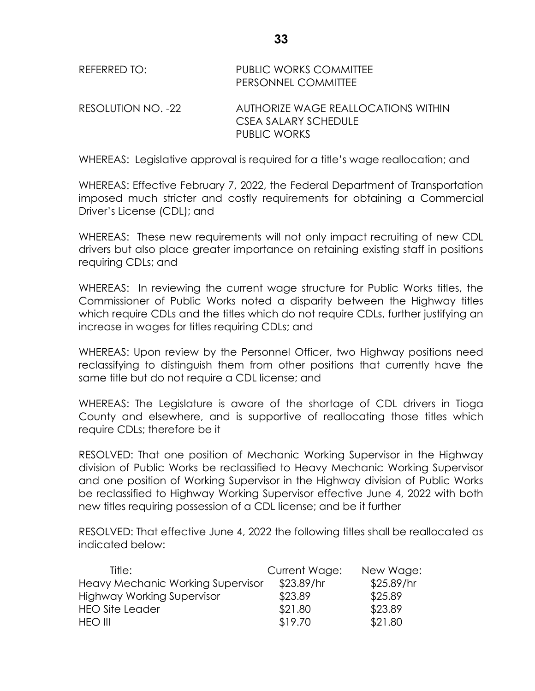| REFERRED TO:       | <b>PUBLIC WORKS COMMITTEE</b><br>PERSONNEL COMMITTEE                        |
|--------------------|-----------------------------------------------------------------------------|
| RESOLUTION NO. -22 | AUTHORIZE WAGE REALLOCATIONS WITHIN<br>CSEA SALARY SCHEDULE<br>PUBLIC WORKS |

WHEREAS: Legislative approval is required for a title's wage reallocation; and

WHEREAS: Effective February 7, 2022, the Federal Department of Transportation imposed much stricter and costly requirements for obtaining a Commercial Driver's License (CDL); and

WHEREAS: These new requirements will not only impact recruiting of new CDL drivers but also place greater importance on retaining existing staff in positions requiring CDLs; and

WHEREAS: In reviewing the current wage structure for Public Works titles, the Commissioner of Public Works noted a disparity between the Highway titles which require CDLs and the titles which do not require CDLs, further justifying an increase in wages for titles requiring CDLs; and

WHEREAS: Upon review by the Personnel Officer, two Highway positions need reclassifying to distinguish them from other positions that currently have the same title but do not require a CDL license; and

WHEREAS: The Legislature is aware of the shortage of CDL drivers in Tioga County and elsewhere, and is supportive of reallocating those titles which require CDLs; therefore be it

RESOLVED: That one position of Mechanic Working Supervisor in the Highway division of Public Works be reclassified to Heavy Mechanic Working Supervisor and one position of Working Supervisor in the Highway division of Public Works be reclassified to Highway Working Supervisor effective June 4, 2022 with both new titles requiring possession of a CDL license; and be it further

RESOLVED: That effective June 4, 2022 the following titles shall be reallocated as indicated below:

| Title:                                   | Current Wage: | New Wage:  |
|------------------------------------------|---------------|------------|
| <b>Heavy Mechanic Working Supervisor</b> | \$23.89/hr    | \$25.89/hr |
| <b>Highway Working Supervisor</b>        | \$23.89       | \$25.89    |
| <b>HEO Site Leader</b>                   | \$21.80       | \$23.89    |
| <b>HEO III</b>                           | \$19.70       | \$21.80    |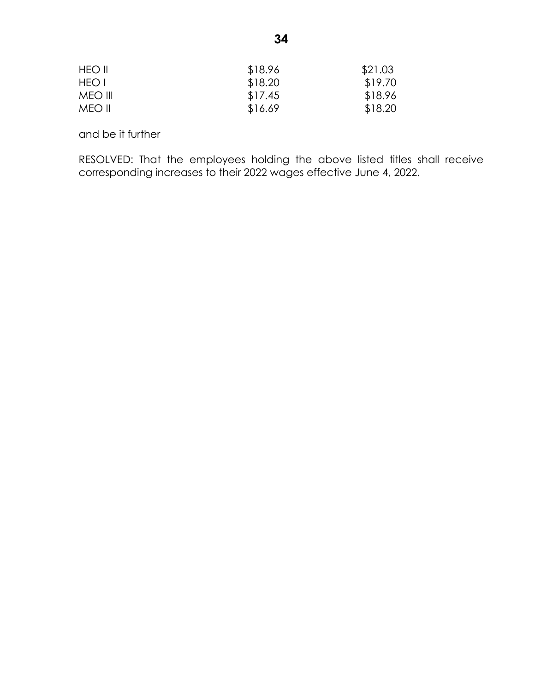| <b>HEO II</b> | \$18.96 | \$21.03 |
|---------------|---------|---------|
| HEO I         | \$18.20 | \$19.70 |
| MEO III       | \$17.45 | \$18.96 |
| MEO II        | \$16.69 | \$18.20 |

and be it further

RESOLVED: That the employees holding the above listed titles shall receive corresponding increases to their 2022 wages effective June 4, 2022.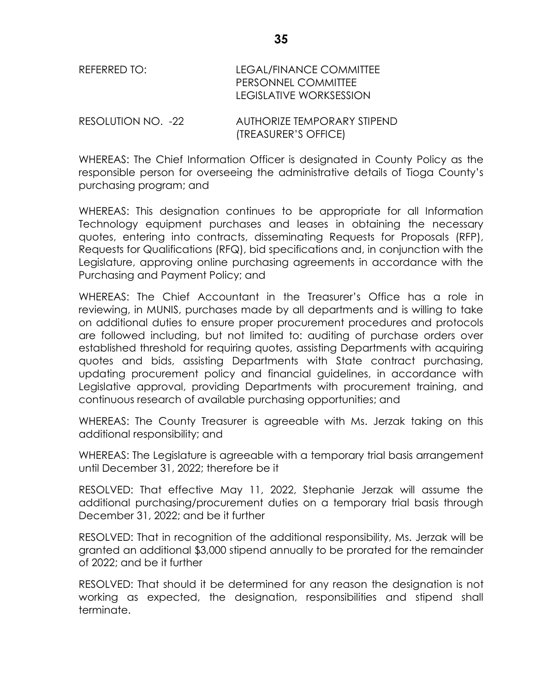| REFERRED TO:       | LEGAL/FINANCE COMMITTEE<br>PERSONNEL COMMITTEE<br>LEGISLATIVE WORKSESSION |  |
|--------------------|---------------------------------------------------------------------------|--|
| RESOLUTION NO. -22 | AUTHORIZE TEMPORARY STIPEND                                               |  |

(TREASURER'S OFFICE) WHEREAS: The Chief Information Officer is designated in County Policy as the responsible person for overseeing the administrative details of Tioga County's

purchasing program; and WHEREAS: This designation continues to be appropriate for all Information Technology equipment purchases and leases in obtaining the necessary

quotes, entering into contracts, disseminating Requests for Proposals (RFP), Requests for Qualifications (RFQ), bid specifications and, in conjunction with the Legislature, approving online purchasing agreements in accordance with the Purchasing and Payment Policy; and

WHEREAS: The Chief Accountant in the Treasurer's Office has a role in reviewing, in MUNIS, purchases made by all departments and is willing to take on additional duties to ensure proper procurement procedures and protocols are followed including, but not limited to: auditing of purchase orders over established threshold for requiring quotes, assisting Departments with acquiring quotes and bids, assisting Departments with State contract purchasing, updating procurement policy and financial guidelines, in accordance with Legislative approval, providing Departments with procurement training, and continuous research of available purchasing opportunities; and

WHEREAS: The County Treasurer is agreeable with Ms. Jerzak taking on this additional responsibility; and

WHEREAS: The Legislature is agreeable with a temporary trial basis arrangement until December 31, 2022; therefore be it

RESOLVED: That effective May 11, 2022, Stephanie Jerzak will assume the additional purchasing/procurement duties on a temporary trial basis through December 31, 2022; and be it further

RESOLVED: That in recognition of the additional responsibility, Ms. Jerzak will be granted an additional \$3,000 stipend annually to be prorated for the remainder of 2022; and be it further

RESOLVED: That should it be determined for any reason the designation is not working as expected, the designation, responsibilities and stipend shall terminate.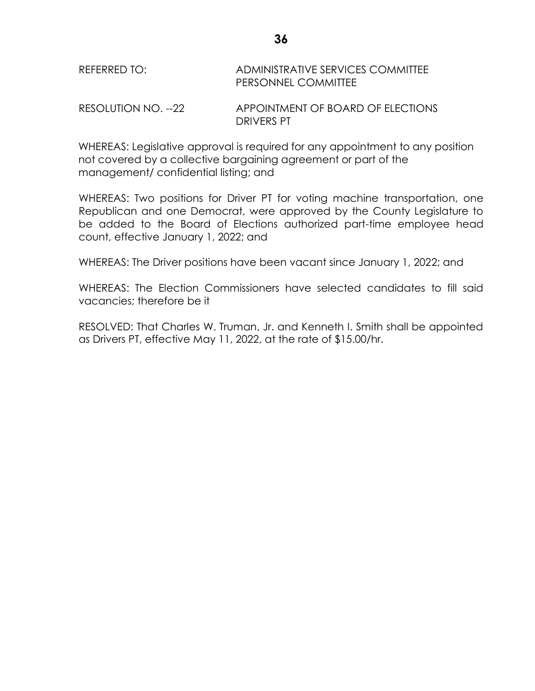| REFERRED TO:        | ADMINISTRATIVE SERVICES COMMITTEE<br><b>PERSONNEL COMMITTEE</b> |
|---------------------|-----------------------------------------------------------------|
| RESOLUTION NO. --22 | APPOINTMENT OF BOARD OF ELECTIONS                               |

DRIVERS PT

WHEREAS: Legislative approval is required for any appointment to any position not covered by a collective bargaining agreement or part of the management/ confidential listing; and

WHEREAS: Two positions for Driver PT for voting machine transportation, one Republican and one Democrat, were approved by the County Legislature to be added to the Board of Elections authorized part-time employee head count, effective January 1, 2022; and

WHEREAS: The Driver positions have been vacant since January 1, 2022; and

WHEREAS: The Election Commissioners have selected candidates to fill said vacancies; therefore be it

RESOLVED: That Charles W. Truman, Jr. and Kenneth I. Smith shall be appointed as Drivers PT, effective May 11, 2022, at the rate of \$15.00/hr.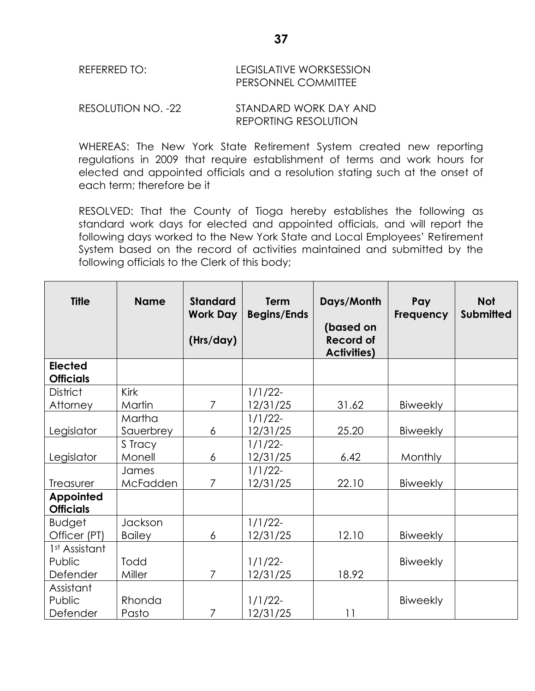| REFERRED TO: | <b>LEGISLATIVE WORKSESSION</b> |  |  |
|--------------|--------------------------------|--|--|
|              | <b>PERSONNEL COMMITTEE</b>     |  |  |

RESOLUTION NO. -22 STANDARD WORK DAY AND REPORTING RESOLUTION

WHEREAS: The New York State Retirement System created new reporting regulations in 2009 that require establishment of terms and work hours for elected and appointed officials and a resolution stating such at the onset of each term; therefore be it

RESOLVED: That the County of Tioga hereby establishes the following as standard work days for elected and appointed officials, and will report the following days worked to the New York State and Local Employees' Retirement System based on the record of activities maintained and submitted by the following officials to the Clerk of this body;

| <b>Title</b>                         | <b>Name</b>     | <b>Standard</b><br><b>Work Day</b><br>(Hrs/day) | Term<br><b>Begins/Ends</b> | Days/Month<br>(based on<br><b>Record of</b><br><b>Activities)</b> | Pay<br>Frequency | <b>Not</b><br><b>Submitted</b> |
|--------------------------------------|-----------------|-------------------------------------------------|----------------------------|-------------------------------------------------------------------|------------------|--------------------------------|
| <b>Elected</b><br><b>Officials</b>   |                 |                                                 |                            |                                                                   |                  |                                |
| <b>District</b>                      | Kirk            |                                                 | $1/1/22$ -                 |                                                                   |                  |                                |
| Attorney                             | Martin          | 7                                               | 12/31/25                   | 31.62                                                             | <b>Biweekly</b>  |                                |
|                                      | Martha          |                                                 | $1/1/22$ -                 |                                                                   |                  |                                |
| Legislator                           | Sauerbrey       | 6                                               | 12/31/25                   | 25.20                                                             | <b>Biweekly</b>  |                                |
|                                      | S Tracy         |                                                 | $1/1/22$ -                 |                                                                   |                  |                                |
| Legislator                           | Monell          | 6                                               | 12/31/25                   | 6.42                                                              | Monthly          |                                |
|                                      | James           |                                                 | $1/1/22$ -                 |                                                                   |                  |                                |
| Treasurer                            | McFadden        | 7                                               | 12/31/25                   | 22.10                                                             | <b>Biweekly</b>  |                                |
| <b>Appointed</b><br><b>Officials</b> |                 |                                                 |                            |                                                                   |                  |                                |
| <b>Budget</b>                        | Jackson         |                                                 | $1/1/22$ -                 |                                                                   |                  |                                |
| Officer (PT)                         | <b>Bailey</b>   | 6                                               | 12/31/25                   | 12.10                                                             | Biweekly         |                                |
| 1st Assistant                        |                 |                                                 |                            |                                                                   |                  |                                |
| Public                               | Todd            |                                                 | $1/1/22$ -                 |                                                                   | Biweekly         |                                |
| Defender                             | Miller          | $\overline{7}$                                  | 12/31/25                   | 18.92                                                             |                  |                                |
| Assistant<br>Public<br>Defender      | Rhonda<br>Pasto | $\overline{7}$                                  | $1/1/22$ -<br>12/31/25     | 11                                                                | Biweekly         |                                |